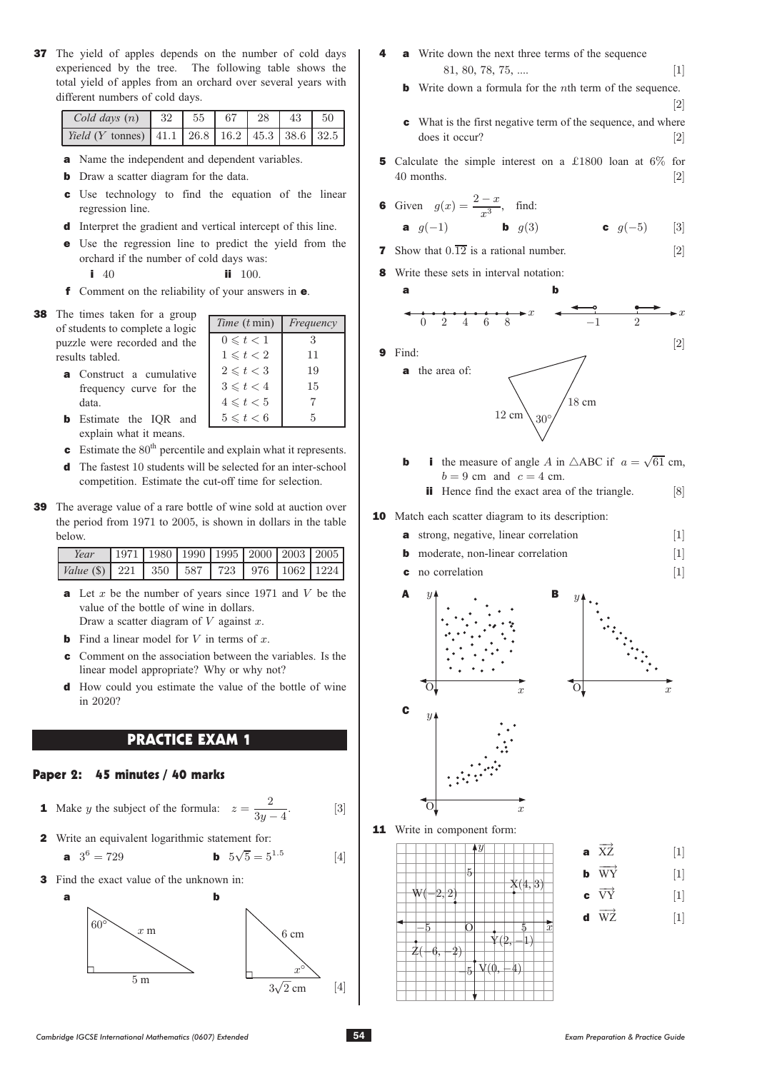37 The yield of apples depends on the number of cold days experienced by the tree. The following table shows the total yield of apples from an orchard over several years with different numbers of cold days.

| Cold days $(n)$ 32                                            | 55 | $167$   28   43 | $\frac{1}{50}$ |
|---------------------------------------------------------------|----|-----------------|----------------|
| <i>Yield</i> ( <i>Y</i> tonnes) 41.1 26.8 16.2 45.3 38.6 32.5 |    |                 |                |

- a Name the independent and dependent variables.
- **b** Draw a scatter diagram for the data.
- c Use technology to find the equation of the linear regression line.
- d Interpret the gradient and vertical intercept of this line.
- e Use the regression line to predict the yield from the orchard if the number of cold days was:

- i 40 ii 100.<br>**f** Comment on the reliability of your answers in **e**.
- 38 The times taken for a group of students to complete a logic puzzle were recorded and the results tabled.

| <b>a</b> Construct a cumulative |  |  |
|---------------------------------|--|--|
| frequency curve for the         |  |  |
| data.                           |  |  |

| Time (t min)   | Frequency |
|----------------|-----------|
| $0 \leq t < 1$ | 3         |
| $1\leq t<2$    | 11        |
| $2 \leq t < 3$ | 19        |
| $3 \leq t < 4$ | 15        |
| $4 \leq t < 5$ |           |
| $5 \leq t < 6$ | 5         |

- **b** Estimate the IQR and explain what it means.
- **c** Estimate the  $80<sup>th</sup>$  percentile and explain what it represents.
- <sup>d</sup> The fastest 10 students will be selected for an inter-school competition. Estimate the cut-off time for selection.
- 39 The average value of a rare bottle of wine sold at auction over the period from 1971 to 2005, is shown in dollars in the table below.

| Year                                                                                                                                                  |  |  | 1971   1980   1990   1995   2000   2003   2005 |  |
|-------------------------------------------------------------------------------------------------------------------------------------------------------|--|--|------------------------------------------------|--|
| <i>Value</i> (\$) $\begin{array}{ c c c c c c c c c } \hline \end{array}$ 221 $\begin{array}{ c c c c c c } \hline \end{array}$ 587 723 976 1062 1224 |  |  |                                                |  |
|                                                                                                                                                       |  |  |                                                |  |

- **a** Let  $x$  be the number of years since 1971 and  $V$  be the value of the bottle of wine in dollars. Draw a scatter diagram of  $V$  against  $x$ .
- **b** Find a linear model for  $V$  in terms of  $x$ .
- c Comment on the association between the variables. Is the linear model appropriate? Why or why not?
- d How could you estimate the value of the bottle of wine in 2020?

### PRACTICE EXAM 1

### Paper 2: 45 minutes / 40 marks

- **1** Make *y* the subject of the formula:  $z = \frac{2}{3y 4}$
- 2 Write an equivalent logarithmic statement for:

**a** 
$$
3^6 = 729
$$
 **b**  $5\sqrt{5} = 5^{1.5}$  [4]

**3** Find the exact value of the unknown in:



- **a** Write down the next three terms of the sequence 81, 80, 78, 75, ....  $[1]$ <br>**b** Write down a formula for the *n*th term of the sequence.
	-
	- **c** What is the first negative term of the sequence, and where does it occur? [2]
- **5** Calculate the simple interest on a £1800 loan at 6% for 40 months.  $[2]$  $40$  months.  $[2]$

**6** Given 
$$
g(x) = \frac{2-x}{x^3}
$$
, find:  
\n**a**  $g(-1)$  **b**  $g(3)$  **c**  $g(-5)$  [3]

- [2] **7** Show that  $0.\overline{12}$  is a rational number.
- 8 Write these sets in interval notation:

a b <sup>x</sup> <sup>0</sup> <sup>2</sup> <sup>4</sup> <sup>6</sup> <sup>8</sup> <sup>x</sup> -1 <sup>2</sup>

 $\mathfrak{g}$ 

9 Find:





- **b** i the measure of angle A in  $\triangle$ ABC if  $a = \sqrt{61}$  cm,  $b = 9$  cm and  $c = 4$  cm.
	- ii Hence find the exact area of the triangle. [8]

#### 10 Match each scatter diagram to its description:

- 
- **a** strong, negative, linear correlation [1]<br>**b** moderate, non-linear correlation [1]
- **b** moderate, non-linear correlation [1]<br>**c** no correlation [1] no correlation



11 Write in component form:



 $\begin{bmatrix} 0 \\ x \end{bmatrix}$ 

**a**  $\overrightarrow{XZ}$  [1]<br>**b**  $\overrightarrow{WY}$  [1] **b**  $W\dot{Y}$  [1] c  $\overrightarrow{VY}$  [1]

**d**  $\overrightarrow{WZ}$  [1]

. [3]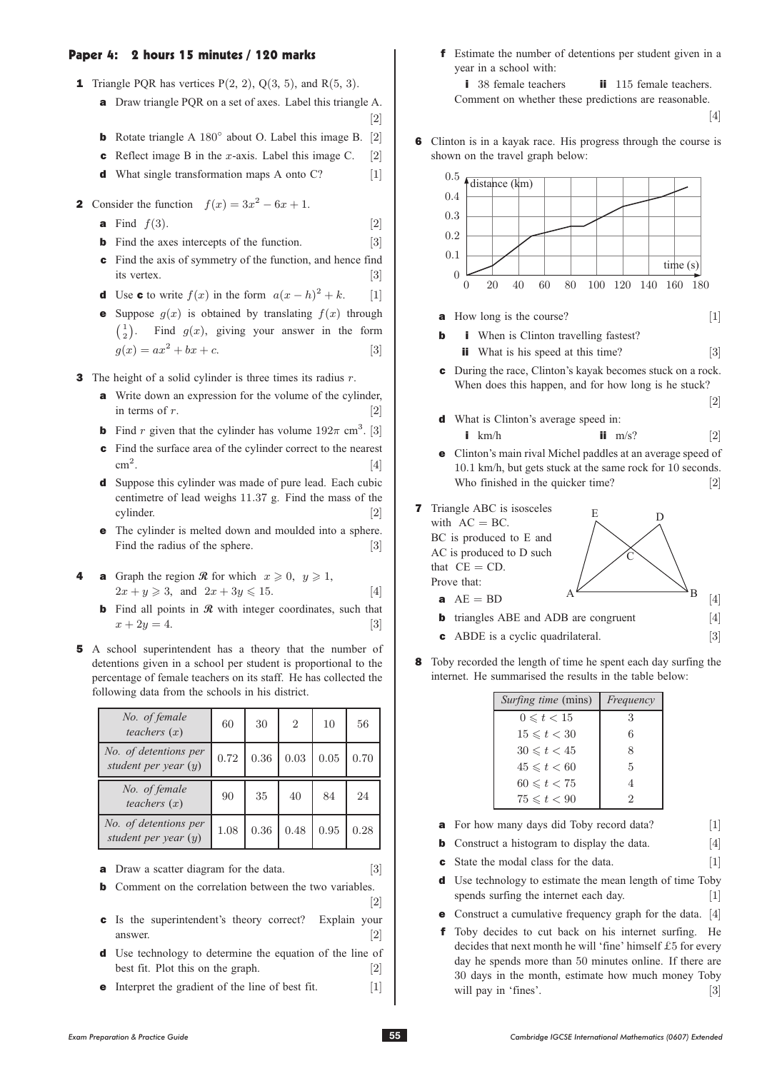### Paper 4: 2 hours 15 minutes / 120 marks

- **1** Triangle PQR has vertices  $P(2, 2)$ ,  $Q(3, 5)$ , and  $R(5, 3)$ .
	- a Draw triangle PQR on a set of axes. Label this triangle A.  $\begin{bmatrix} 2 \\ 2 \end{bmatrix}$
	- **b** Rotate triangle A 180 $^{\circ}$  about O. Label this image B. [2] **c** Reflect image B in the *x*-axis. Label this image C. [2]
	- **c** Reflect image B in the *x*-axis. Label this image C. [2]<br>**d** What single transformation maps A onto C? [1]
	- $d$  What single transformation maps A onto C?
- 2 Consider the function  $f(x)=3x^2 6x + 1$ .
	- **a** Find  $f(3)$ . [2]<br>**b** Find the axes intercepts of the function. [3]
	- **b** Find the axes intercepts of the function.
	- c Find the axis of symmetry of the function, and hence find its vertex.  $[3]$
	- **d** Use **c** to write  $f(x)$  in the form  $a(x-h)^2 + k$ . [1]
	- **e** Suppose  $g(x)$  is obtained by translating  $f(x)$  through  $\begin{pmatrix} 1 \\ 2 \end{pmatrix}$ . Find  $g(x)$ , giving your answer in the form  $g(x) = ax^2 + bx + c.$  [3]

**3** The height of a solid cylinder is three times its radius  $r$ .

- a Write down an expression for the volume of the cylinder, in terms of  $r$ . [2]
- **b** Find r given that the cylinder has volume  $192\pi$  cm<sup>3</sup>. [3]
- c Find the surface area of the cylinder correct to the nearest
- $\text{cm}^2$ . [4]<br>**d** Suppose this cylinder was made of pure lead. Each cubic centimetre of lead weighs 11:37 g. Find the mass of the
- cylinder. [2] e The cylinder is melted down and moulded into a sphere. Find the radius of the sphere. [3]
- **a** Graph the region **R** for which  $x \ge 0$ ,  $y \ge 1$ ,  $2x + y \ge 3$ , and  $2x + 3y \le 15$ . [4]
	- b Find all points in **R** with integer coordinates, such that  $x + 2y = 4.$  [3]
- 5 A school superintendent has a theory that the number of detentions given in a school per student is proportional to the percentage of female teachers on its staff. He has collected the following data from the schools in his district.

| No. of female<br>teachers $(x)$                 | 60   | 30   | $\overline{2}$ | 10       | 56   |
|-------------------------------------------------|------|------|----------------|----------|------|
| No. of detentions per<br>student per year $(y)$ | 0.72 | 0.36 | 0.03           | $0.05\,$ | 0.70 |
|                                                 |      |      |                |          |      |
| No. of female<br>teachers $(x)$                 | 90   | 35   | 40             | 84       | 24   |

- **a** Draw a scatter diagram for the data. [3]
- **b** Comment on the correlation between the two variables.
- **c** Is the superintendent's theory correct? Explain your answer. [2] d Use technology to determine the equation of the line of
- best fit. Plot this on the graph. [2]<br>Interpret the gradient of the line of best fit. [1]
- **e** Interpret the gradient of the line of best fit.

f Estimate the number of detentions per student given in a year in a school with:

i 38 female teachers ii 115 female teachers.<br>Comment on whether these predictions are reasonable.

[4]

6 Clinton is in a kayak race. His progress through the course is shown on the travel graph below:



8 Toby recorded the length of time he spent each day surfing the internet. He summarised the results in the table below:

| <i>Surfing time</i> (mins) | Frequency |
|----------------------------|-----------|
| $0 \leq t < 15$            | 3         |
| $15 \leq t < 30$           | 6         |
| $30 \leq t < 45$           | 8         |
| $45 \leq t < 60$           | 5         |
| $60 \le t < 75$            | 4         |
| $75 \leqslant t < 90$      | 2         |

- 
- **a** For how many days did Toby record data? [1]<br>**b** Construct a histogram to display the data. [4]
- **b** Construct a histogram to display the data. [4]<br>**c** State the modal class for the data. [1] **c** State the modal class for the data.<br>**d** Use technology to estimate the me
- Use technology to estimate the mean length of time Toby spends surfing the internet each day. [1]
- Construct a cumulative frequency graph for the data. [4]
- Toby decides to cut back on his internet surfing. He decides that next month he will 'fine' himself £5 for every day he spends more than 50 minutes online. If there are 30 days in the month, estimate how much money Toby will pay in 'fines'. [3] will pay in 'fines'.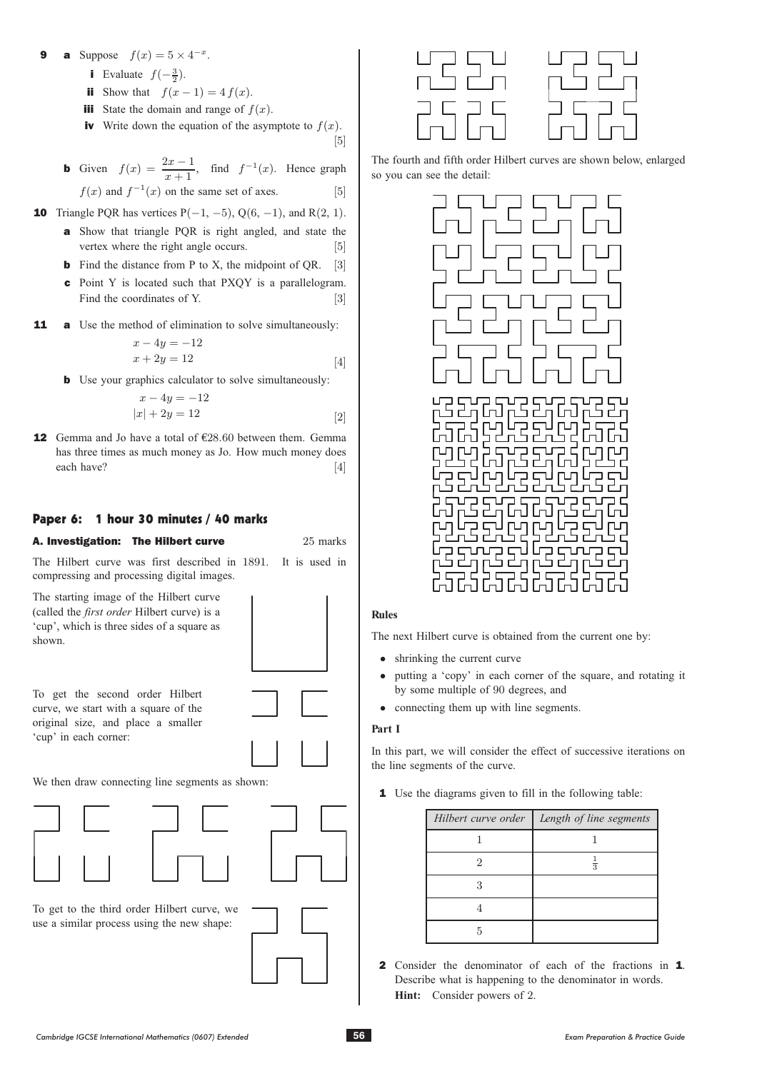### a Suppose  $f(x)=5 \times 4^{-x}$ .

- **i** Evaluate  $f(-\frac{3}{2})$ .
- ii Show that  $f(x 1) = 4 f(x)$ .
- **iii** State the domain and range of  $f(x)$ .
- **iv** Write down the equation of the asymptote to  $f(x)$ . [5]
- $\mathbb{F}_2$ **b** Given  $f(x) = \frac{2x-1}{x+1}$ , find  $f^{-1}(x)$ . Hence graph  $f(x)$  and  $f^{-1}(x)$  on the same set of axes. [5]

- **10** Triangle PQR has vertices  $P(-1, -5)$ ,  $Q(6, -1)$ , and  $R(2, 1)$ .
	- a Show that triangle PQR is right angled, and state the vertex where the right angle occurs. [5]
	- **b** Find the distance from P to X, the midpoint of QR. [3]
	- c Point Y is located such that PXQY is a parallelogram. Find the coordinates of Y. [3]
- **11** a Use the method of elimination to solve simultaneously:

$$
x - 4y = -12
$$
  

$$
x + 2y = 12
$$

 $x + 2y = 12$  [4]<br>**b** Use your graphics calculator to solve simultaneously:

$$
x - 4y = -12
$$
  

$$
|x| + 2y = 12
$$
 [2]

**12** Gemma and Jo have a total of  $£28.60$  between them. Gemma has three times as much money as Jo. How much money does each have?  $[4]$ 

# Paper 6: 1 hour 30 minutes / 40 marks



The Hilbert curve was first described in 1891. It is used in compressing and processing digital images.

The starting image of the Hilbert curve (called the *first order* Hilbert curve) is a 'cup', which is three sides of a square as shown.

To get the second order Hilbert curve, we start with a square of the original size, and place a smaller 'cup' in each corner:



We then draw connecting line segments as shown:



To get to the third order Hilbert curve, we use a similar process using the new shape:





The fourth and fifth order Hilbert curves are shown below, enlarged so you can see the detail:



#### **Rules**

The next Hilbert curve is obtained from the current one by:

- shrinking the current curve<br>• putting a 'conv' in each convex
- putting a 'copy' in each corner of the square, and rotating it by some multiple of 90 degrees, and
- connecting them up with line segments.

## **Part I**

In this part, we will consider the effect of successive iterations on the line segments of the curve.

1 Use the diagrams given to fill in the following table:

|    | Hilbert curve order   Length of line segments |
|----|-----------------------------------------------|
|    |                                               |
| '2 |                                               |
|    |                                               |
|    |                                               |
|    |                                               |

2 Consider the denominator of each of the fractions in 1. Describe what is happening to the denominator in words. **Hint:** Consider powers of 2.